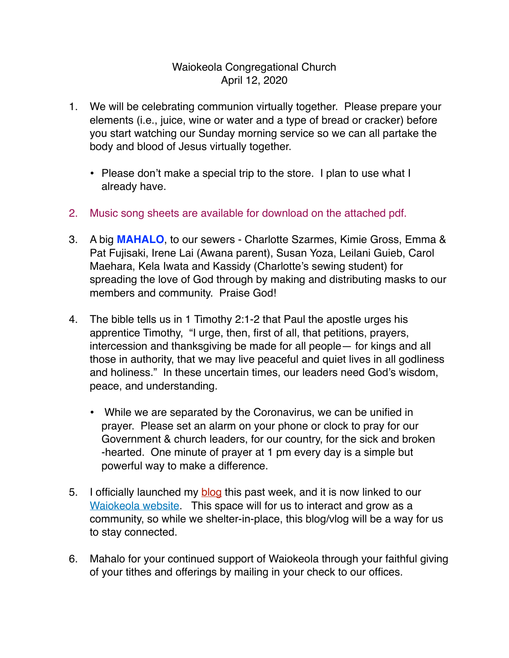## Waiokeola Congregational Church April 12, 2020

- 1. We will be celebrating communion virtually together. Please prepare your elements (i.e., juice, wine or water and a type of bread or cracker) before you start watching our Sunday morning service so we can all partake the body and blood of Jesus virtually together.
	- Please don't make a special trip to the store. I plan to use what I already have.
- 2. Music song sheets are available for download on the attached pdf.
- 3. A big **MAHALO**, to our sewers Charlotte Szarmes, Kimie Gross, Emma & Pat Fujisaki, Irene Lai (Awana parent), Susan Yoza, Leilani Guieb, Carol Maehara, Kela Iwata and Kassidy (Charlotte's sewing student) for spreading the love of God through by making and distributing masks to our members and community. Praise God!
- 4. The bible tells us in 1 Timothy 2:1-2 that Paul the apostle urges his apprentice Timothy, "I urge, then, first of all, that petitions, prayers, intercession and thanksgiving be made for all people— for kings and all those in authority, that we may live peaceful and quiet lives in all godliness and holiness." In these uncertain times, our leaders need God's wisdom, peace, and understanding.
	- While we are separated by the Coronavirus, we can be unified in prayer. Please set an alarm on your phone or clock to pray for our Government & church leaders, for our country, for the sick and broken -hearted. One minute of prayer at 1 pm every day is a simple but powerful way to make a difference.
- 5. I officially launched my **blog** this past week, and it is now linked to our [Waiokeola website.](https://www.waiokeola.org/) This space will for us to interact and grow as a community, so while we shelter-in-place, this blog/vlog will be a way for us to stay connected.
- 6. Mahalo for your continued support of Waiokeola through your faithful giving of your tithes and offerings by mailing in your check to our offices.